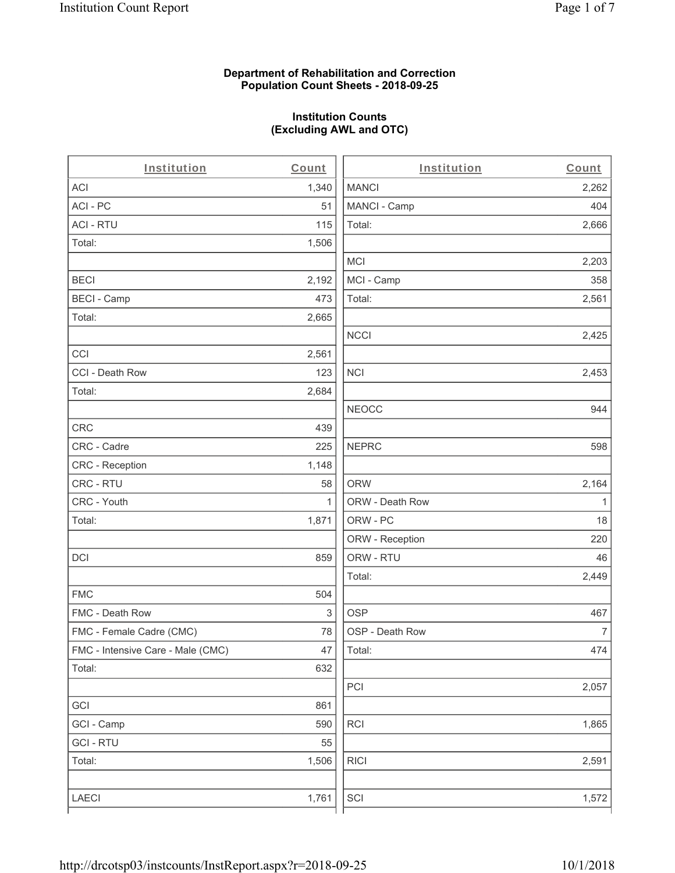# **Department of Rehabilitation and Correction Population Count Sheets - 2018-09-25**

# **Institution Counts (Excluding AWL and OTC)**

. .

| Institution                       | Count        | Institution     | Count        |
|-----------------------------------|--------------|-----------------|--------------|
| ACI                               | 1,340        | <b>MANCI</b>    | 2,262        |
| ACI-PC                            | 51           | MANCI - Camp    | 404          |
| <b>ACI - RTU</b>                  | 115          | Total:          | 2,666        |
| Total:                            | 1,506        |                 |              |
|                                   |              | MCI             | 2,203        |
| <b>BECI</b>                       | 2,192        | MCI - Camp      | 358          |
| <b>BECI - Camp</b>                | 473          | Total:          | 2,561        |
| Total:                            | 2,665        |                 |              |
|                                   |              | <b>NCCI</b>     | 2,425        |
| CCI                               | 2,561        |                 |              |
| CCI - Death Row                   | 123          | <b>NCI</b>      | 2,453        |
| Total:                            | 2,684        |                 |              |
|                                   |              | <b>NEOCC</b>    | 944          |
| <b>CRC</b>                        | 439          |                 |              |
| CRC - Cadre                       | 225          | <b>NEPRC</b>    | 598          |
| CRC - Reception                   | 1,148        |                 |              |
| CRC - RTU                         | 58           | <b>ORW</b>      | 2,164        |
| CRC - Youth                       | $\mathbf{1}$ | ORW - Death Row | $\mathbf{1}$ |
| Total:                            | 1,871        | ORW - PC        | 18           |
|                                   |              | ORW - Reception | 220          |
| DCI                               | 859          | ORW - RTU       | 46           |
|                                   |              | Total:          | 2,449        |
| <b>FMC</b>                        | 504          |                 |              |
| FMC - Death Row                   | 3            | <b>OSP</b>      | 467          |
| FMC - Female Cadre (CMC)          | 78           | OSP - Death Row | 7            |
| FMC - Intensive Care - Male (CMC) | 47           | Total:          | 474          |
| Total:                            | 632          |                 |              |
|                                   |              | PCI             | 2,057        |
| GCI                               | 861          |                 |              |
| GCI - Camp                        | 590          | RCI             | 1,865        |
| <b>GCI - RTU</b>                  | 55           |                 |              |
| Total:                            | 1,506        | <b>RICI</b>     | 2,591        |
|                                   |              |                 |              |
| LAECI                             | 1,761        | SCI             | 1,572        |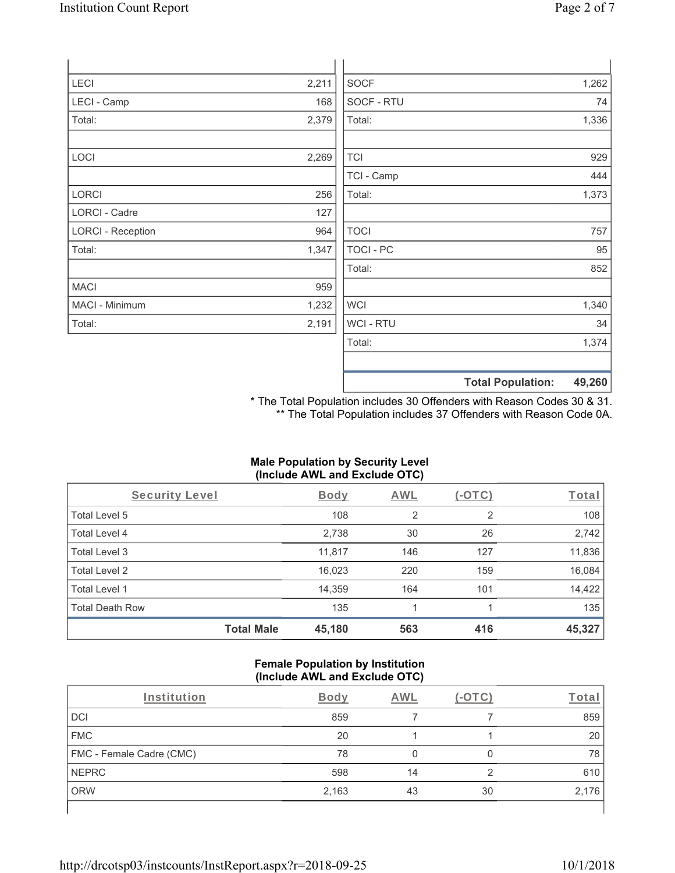| <b>LECI</b>              | 2,211 | <b>SOCF</b>      | 1,262                              |
|--------------------------|-------|------------------|------------------------------------|
| LECI - Camp              | 168   | SOCF - RTU       | 74                                 |
| Total:                   | 2,379 | Total:           | 1,336                              |
|                          |       |                  |                                    |
| LOCI                     | 2,269 | <b>TCI</b>       | 929                                |
|                          |       | TCI - Camp       | 444                                |
| LORCI                    | 256   | Total:           | 1,373                              |
| <b>LORCI - Cadre</b>     | 127   |                  |                                    |
| <b>LORCI - Reception</b> | 964   | <b>TOCI</b>      | 757                                |
| Total:                   | 1,347 | <b>TOCI - PC</b> | 95                                 |
|                          |       | Total:           | 852                                |
| <b>MACI</b>              | 959   |                  |                                    |
| MACI - Minimum           | 1,232 | <b>WCI</b>       | 1,340                              |
| Total:                   | 2,191 | WCI - RTU        | 34                                 |
|                          |       | Total:           | 1,374                              |
|                          |       |                  |                                    |
|                          |       |                  | <b>Total Population:</b><br>49,260 |

\* The Total Population includes 30 Offenders with Reason Codes 30 & 31. \*\* The Total Population includes 37 Offenders with Reason Code 0A.

### **Male Population by Security Level (Include AWL and Exclude OTC)**

| Security Level         |                   | <b>Body</b> | <b>AWL</b> | $(-\text{OTC})$ | Total  |
|------------------------|-------------------|-------------|------------|-----------------|--------|
| Total Level 5          |                   | 108         | 2          | 2               | 108    |
| Total Level 4          |                   | 2,738       | 30         | 26              | 2,742  |
| Total Level 3          |                   | 11,817      | 146        | 127             | 11,836 |
| Total Level 2          |                   | 16,023      | 220        | 159             | 16,084 |
| Total Level 1          |                   | 14,359      | 164        | 101             | 14,422 |
| <b>Total Death Row</b> |                   | 135         |            |                 | 135    |
|                        | <b>Total Male</b> | 45,180      | 563        | 416             | 45,327 |

#### **Female Population by Institution (Include AWL and Exclude OTC)**

| Institution              | Bodv  | AWL |    | ⊺ota  |
|--------------------------|-------|-----|----|-------|
| DCI                      | 859   |     |    | 859   |
| <b>FMC</b>               | 20    |     |    | 20    |
| FMC - Female Cadre (CMC) | 78    |     |    | 78    |
| <b>NEPRC</b>             | 598   | 14  | ◠  | 610   |
| <b>ORW</b>               | 2,163 | 43  | 30 | 2,176 |
|                          |       |     |    |       |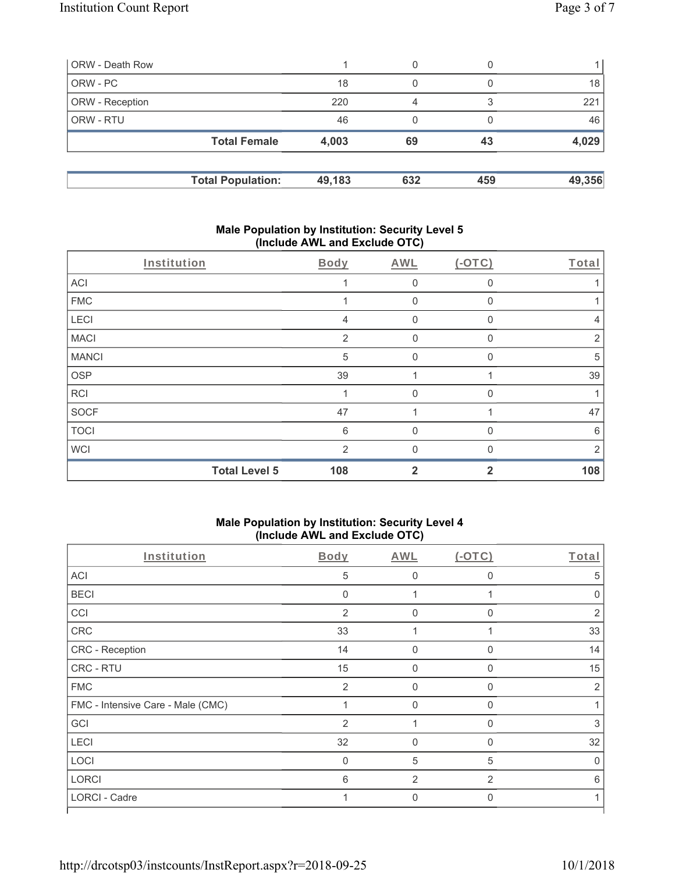| ORW - Death Row        |                          |        | 0   |     |        |
|------------------------|--------------------------|--------|-----|-----|--------|
| ORW - PC               |                          | 18     | 0   |     | 18     |
| <b>ORW</b> - Reception |                          | 220    | Δ   |     | 221    |
| <b>ORW - RTU</b>       |                          | 46     | 0   |     | 46     |
|                        | <b>Total Female</b>      | 4,003  | 69  | 43  | 4,029  |
|                        | <b>Total Population:</b> | 49,183 | 632 | 459 | 49,356 |

### **Male Population by Institution: Security Level 5 (Include AWL and Exclude OTC)**

|              | Institution          | Body          | <b>AWL</b>   | $(-OTC)$    | Total          |
|--------------|----------------------|---------------|--------------|-------------|----------------|
| <b>ACI</b>   |                      |               | 0            | $\mathbf 0$ |                |
| <b>FMC</b>   |                      |               | $\mathbf 0$  | 0           |                |
| <b>LECI</b>  |                      | 4             | 0            | 0           | 4              |
| <b>MACI</b>  |                      | 2             | $\mathbf 0$  | $\Omega$    | $\overline{2}$ |
| <b>MANCI</b> |                      | 5             | $\Omega$     | $\Omega$    | 5              |
| <b>OSP</b>   |                      | 39            | 4            |             | 39             |
| <b>RCI</b>   |                      |               | 0            | $\Omega$    |                |
| SOCF         |                      | 47            |              |             | 47             |
| <b>TOCI</b>  |                      | 6             | 0            | 0           | $6\,$          |
| <b>WCI</b>   |                      | $\mathcal{P}$ | $\Omega$     | $\Omega$    | 2              |
|              | <b>Total Level 5</b> | 108           | $\mathbf{2}$ | 2           | 108            |

### **Male Population by Institution: Security Level 4 (Include AWL and Exclude OTC)**

| $\cdot$                           |                | ,              |                |                |
|-----------------------------------|----------------|----------------|----------------|----------------|
| Institution                       | <b>Body</b>    | <b>AWL</b>     | (OTC)          | Total          |
| <b>ACI</b>                        | 5              | $\mathbf 0$    | $\Omega$       | 5              |
| <b>BECI</b>                       | $\mathbf{0}$   |                |                | $\Omega$       |
| CCI                               | 2              | 0              | $\Omega$       | 2              |
| CRC                               | 33             |                |                | 33             |
| CRC - Reception                   | 14             | $\mathbf 0$    | $\Omega$       | 14             |
| CRC - RTU                         | 15             | 0              | $\Omega$       | 15             |
| <b>FMC</b>                        | $\overline{2}$ | $\mathbf 0$    | $\mathbf 0$    | $\overline{2}$ |
| FMC - Intensive Care - Male (CMC) | 1              | 0              | $\mathbf 0$    |                |
| GCI                               | $\overline{2}$ | 1              | $\mathbf 0$    | 3              |
| <b>LECI</b>                       | 32             | $\mathbf{0}$   | $\Omega$       | 32             |
| LOCI                              | $\mathbf 0$    | 5              | 5              | 0              |
| <b>LORCI</b>                      | 6              | $\overline{2}$ | $\overline{2}$ | 6              |
| LORCI - Cadre                     |                | $\mathbf 0$    | $\Omega$       |                |
|                                   |                |                |                |                |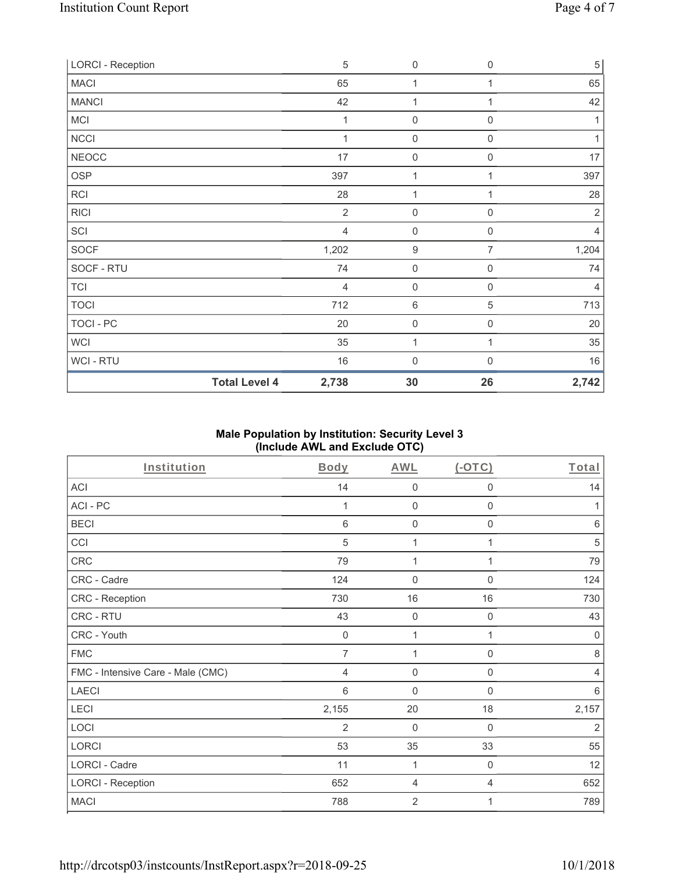| <b>LORCI - Reception</b> |                      | $\sqrt{5}$     | $\mathsf{O}\xspace$ | 0              | $\sqrt{5}$     |
|--------------------------|----------------------|----------------|---------------------|----------------|----------------|
| <b>MACI</b>              |                      | 65             | 1                   |                | 65             |
| <b>MANCI</b>             |                      | 42             | 1                   |                | 42             |
| MCI                      |                      | 1              | $\mathbf 0$         | 0              | 1              |
| <b>NCCI</b>              |                      | 1              | $\mathbf 0$         | $\mathbf 0$    | 1              |
| <b>NEOCC</b>             |                      | 17             | $\mathbf 0$         | $\mathbf 0$    | 17             |
| <b>OSP</b>               |                      | 397            | $\mathbf{1}$        | 1              | 397            |
| RCI                      |                      | 28             | $\mathbf{1}$        |                | 28             |
| <b>RICI</b>              |                      | $\overline{2}$ | $\boldsymbol{0}$    | 0              | $\overline{2}$ |
| SCI                      |                      | $\overline{4}$ | $\boldsymbol{0}$    | 0              | 4              |
| SOCF                     |                      | 1,202          | $\boldsymbol{9}$    | $\overline{7}$ | 1,204          |
| SOCF - RTU               |                      | 74             | $\mathbf 0$         | 0              | 74             |
| <b>TCI</b>               |                      | $\overline{4}$ | $\mathsf{O}\xspace$ | 0              | $\overline{4}$ |
| <b>TOCI</b>              |                      | 712            | $\,6\,$             | 5              | 713            |
| TOCI - PC                |                      | 20             | $\mathsf{O}\xspace$ | 0              | 20             |
| WCI                      |                      | 35             | $\mathbf{1}$        | 1              | $35\,$         |
| WCI - RTU                |                      | 16             | $\mathbf 0$         | 0              | 16             |
|                          | <b>Total Level 4</b> | 2,738          | 30                  | 26             | 2,742          |

# **Male Population by Institution: Security Level 3 (Include AWL and Exclude OTC)**

| Institution                       | Body           | <b>AWL</b>     | (OTC)               | Total          |
|-----------------------------------|----------------|----------------|---------------------|----------------|
| <b>ACI</b>                        | 14             | $\mathbf 0$    | $\mathbf 0$         | 14             |
| ACI-PC                            | 1              | $\mathbf 0$    | $\mathbf 0$         | 1              |
| <b>BECI</b>                       | 6              | $\mathbf 0$    | $\mathbf 0$         | $6\,$          |
| CCI                               | 5              | 1              | 1                   | 5              |
| <b>CRC</b>                        | 79             | 1              | 1                   | 79             |
| CRC - Cadre                       | 124            | $\mathbf 0$    | $\mathbf 0$         | 124            |
| CRC - Reception                   | 730            | 16             | 16                  | 730            |
| CRC - RTU                         | 43             | $\mathbf 0$    | $\mathsf{O}\xspace$ | 43             |
| CRC - Youth                       | $\mathbf 0$    | 1              | 1                   | $\mathbf 0$    |
| <b>FMC</b>                        | $\overline{7}$ | 1              | $\mathbf 0$         | 8              |
| FMC - Intensive Care - Male (CMC) | 4              | $\mathbf 0$    | $\boldsymbol{0}$    | $\overline{4}$ |
| <b>LAECI</b>                      | 6              | $\mathbf 0$    | $\boldsymbol{0}$    | $\,6\,$        |
| LECI                              | 2,155          | 20             | 18                  | 2,157          |
| LOCI                              | 2              | $\mathbf 0$    | 0                   | $\overline{2}$ |
| LORCI                             | 53             | 35             | 33                  | 55             |
| LORCI - Cadre                     | 11             | 1              | $\boldsymbol{0}$    | 12             |
| <b>LORCI - Reception</b>          | 652            | 4              | $\overline{4}$      | 652            |
| <b>MACI</b>                       | 788            | $\overline{2}$ | 1                   | 789            |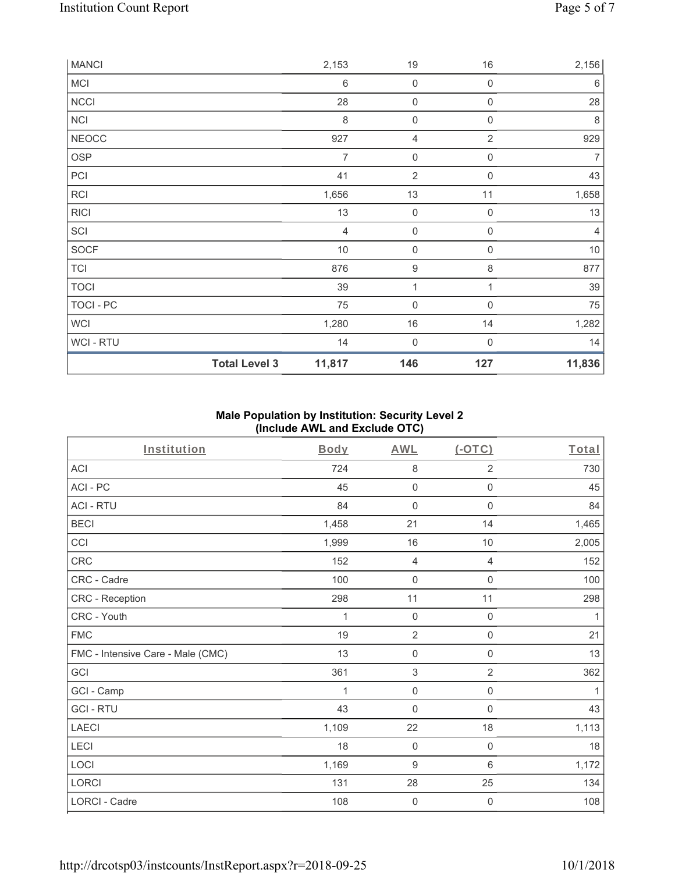| MCI          |                      | $\,6\,$        | 0                | $\mathbf 0$      | $\,6\,$        |
|--------------|----------------------|----------------|------------------|------------------|----------------|
| <b>NCCI</b>  |                      | 28             | $\mathbf 0$      | $\mathbf 0$      | 28             |
| NCI          |                      | $\,8\,$        | $\boldsymbol{0}$ | $\boldsymbol{0}$ | $\,8\,$        |
| <b>NEOCC</b> |                      | 927            | 4                | $\overline{2}$   | 929            |
| OSP          |                      | $\overline{7}$ | $\mathbf 0$      | $\mathbf 0$      | $\overline{7}$ |
| PCI          |                      | 41             | $\sqrt{2}$       | $\mathbf 0$      | 43             |
| RCI          |                      | 1,656          | 13               | 11               | 1,658          |
| <b>RICI</b>  |                      | 13             | $\mathbf 0$      | $\mathbf 0$      | 13             |
| SCI          |                      | 4              | $\boldsymbol{0}$ | $\mathbf 0$      | 4              |
| <b>SOCF</b>  |                      | $10$           | $\boldsymbol{0}$ | $\mathbf 0$      | $10$           |
| <b>TCI</b>   |                      | 876            | 9                | 8                | 877            |
| <b>TOCI</b>  |                      | 39             | 1                |                  | 39             |
| TOCI - PC    |                      | 75             | $\mathbf 0$      | $\mathbf 0$      | 75             |
| WCI          |                      | 1,280          | $16\,$           | 14               | 1,282          |
| WCI - RTU    |                      | 14             | $\mathbf 0$      | $\mathbf 0$      | 14             |
|              | <b>Total Level 3</b> | 11,817         | 146              | 127              | 11,836         |

# **Male Population by Institution: Security Level 2 (Include AWL and Exclude OTC)**

| Institution                       | <b>Body</b> | <b>AWL</b>          | (OTC)               | Total |
|-----------------------------------|-------------|---------------------|---------------------|-------|
| <b>ACI</b>                        | 724         | 8                   | $\overline{2}$      | 730   |
| ACI-PC                            | 45          | $\boldsymbol{0}$    | $\boldsymbol{0}$    | 45    |
| <b>ACI - RTU</b>                  | 84          | $\mathbf 0$         | $\mathsf{O}\xspace$ | 84    |
| <b>BECI</b>                       | 1,458       | 21                  | 14                  | 1,465 |
| CCI                               | 1,999       | 16                  | 10                  | 2,005 |
| CRC                               | 152         | $\overline{4}$      | $\overline{4}$      | 152   |
| CRC - Cadre                       | 100         | $\mathbf 0$         | $\mathsf{O}\xspace$ | 100   |
| CRC - Reception                   | 298         | 11                  | 11                  | 298   |
| CRC - Youth                       | 1           | $\mathbf 0$         | $\mathsf{O}\xspace$ | 1     |
| <b>FMC</b>                        | 19          | $\overline{2}$      | $\mathsf{O}\xspace$ | 21    |
| FMC - Intensive Care - Male (CMC) | 13          | $\boldsymbol{0}$    | 0                   | 13    |
| GCI                               | 361         | $\sqrt{3}$          | $\overline{2}$      | 362   |
| GCI - Camp                        | 1           | $\mathbf 0$         | 0                   | 1     |
| <b>GCI-RTU</b>                    | 43          | $\mathbf 0$         | 0                   | 43    |
| <b>LAECI</b>                      | 1,109       | 22                  | 18                  | 1,113 |
| LECI                              | 18          | $\mathbf 0$         | $\mathbf 0$         | 18    |
| LOCI                              | 1,169       | $\boldsymbol{9}$    | 6                   | 1,172 |
| LORCI                             | 131         | 28                  | 25                  | 134   |
| <b>LORCI - Cadre</b>              | 108         | $\mathsf{O}\xspace$ | $\mathbf 0$         | 108   |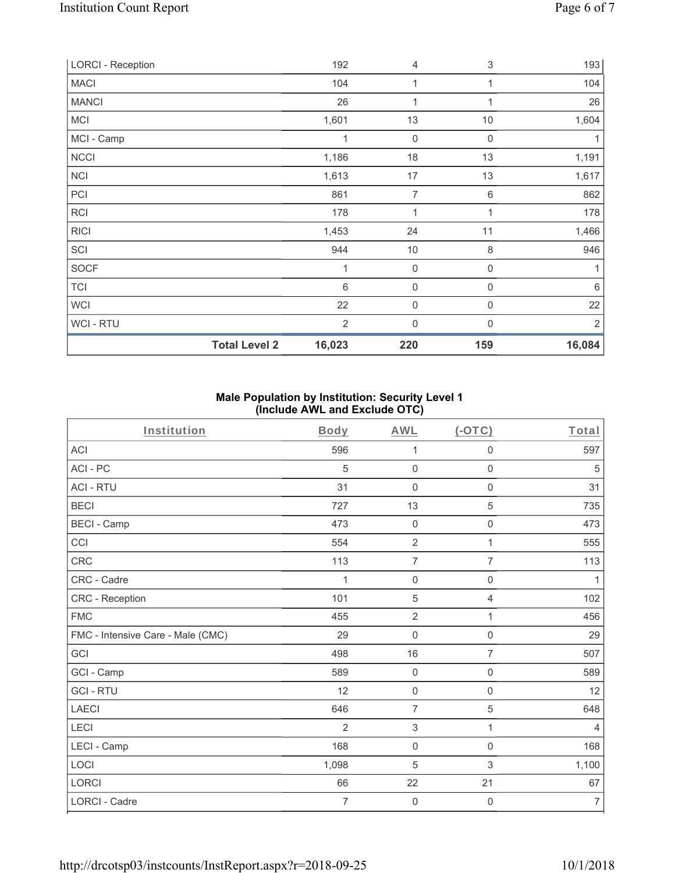| <b>LORCI - Reception</b> |                      | 192            | 4              | 3           | 193            |
|--------------------------|----------------------|----------------|----------------|-------------|----------------|
| <b>MACI</b>              |                      | 104            | 1              | 1           | 104            |
| <b>MANCI</b>             |                      | 26             | 1              | 1           | 26             |
| <b>MCI</b>               |                      | 1,601          | 13             | 10          | 1,604          |
| MCI - Camp               |                      | 1              | $\mathbf 0$    | $\mathbf 0$ | 1              |
| <b>NCCI</b>              |                      | 1,186          | 18             | 13          | 1,191          |
| <b>NCI</b>               |                      | 1,613          | 17             | 13          | 1,617          |
| PCI                      |                      | 861            | $\overline{7}$ | 6           | 862            |
| RCI                      |                      | 178            | 1              | 1           | 178            |
| <b>RICI</b>              |                      | 1,453          | 24             | 11          | 1,466          |
| SCI                      |                      | 944            | 10             | 8           | 946            |
| <b>SOCF</b>              |                      | 1              | $\mathbf 0$    | 0           | 1              |
| <b>TCI</b>               |                      | 6              | $\mathsf 0$    | 0           | $6\,$          |
| <b>WCI</b>               |                      | 22             | $\mathbf 0$    | 0           | 22             |
| WCI - RTU                |                      | $\overline{2}$ | 0              | $\Omega$    | $\overline{2}$ |
|                          | <b>Total Level 2</b> | 16,023         | 220            | 159         | 16,084         |

# **Male Population by Institution: Security Level 1 (Include AWL and Exclude OTC)**

| Institution                       | <b>Body</b>    | <b>AWL</b>          | $(-OTC)$            | Total            |
|-----------------------------------|----------------|---------------------|---------------------|------------------|
| <b>ACI</b>                        | 596            | 1                   | $\mathsf{O}\xspace$ | 597              |
| ACI-PC                            | 5              | $\mathbf 0$         | $\mathsf{O}\xspace$ | 5                |
| <b>ACI - RTU</b>                  | 31             | 0                   | $\mathbf 0$         | 31               |
| <b>BECI</b>                       | 727            | 13                  | $\sqrt{5}$          | 735              |
| <b>BECI - Camp</b>                | 473            | $\mathbf 0$         | $\mathsf{O}\xspace$ | 473              |
| CCI                               | 554            | $\overline{2}$      | 1                   | 555              |
| CRC                               | 113            | $\overline{7}$      | $\overline{7}$      | 113              |
| CRC - Cadre                       | 1              | $\mathsf{O}\xspace$ | $\mathbf 0$         | 1                |
| CRC - Reception                   | 101            | 5                   | $\overline{4}$      | 102              |
| <b>FMC</b>                        | 455            | $\overline{2}$      | $\mathbf{1}$        | 456              |
| FMC - Intensive Care - Male (CMC) | 29             | $\mathbf 0$         | $\mathsf{O}\xspace$ | 29               |
| GCI                               | 498            | 16                  | 7                   | 507              |
| GCI - Camp                        | 589            | $\mathbf 0$         | $\mathbf 0$         | 589              |
| <b>GCI-RTU</b>                    | 12             | $\mathbf 0$         | $\mathbf 0$         | 12               |
| LAECI                             | 646            | $\overline{7}$      | $\overline{5}$      | 648              |
| LECI                              | 2              | 3                   | 1                   | $\overline{4}$   |
| LECI - Camp                       | 168            | $\mathbf 0$         | $\mathbf 0$         | 168              |
| LOCI                              | 1,098          | 5                   | 3                   | 1,100            |
| LORCI                             | 66             | 22                  | 21                  | 67               |
| <b>LORCI - Cadre</b>              | $\overline{7}$ | $\mathbf 0$         | $\mathbf 0$         | $\boldsymbol{7}$ |